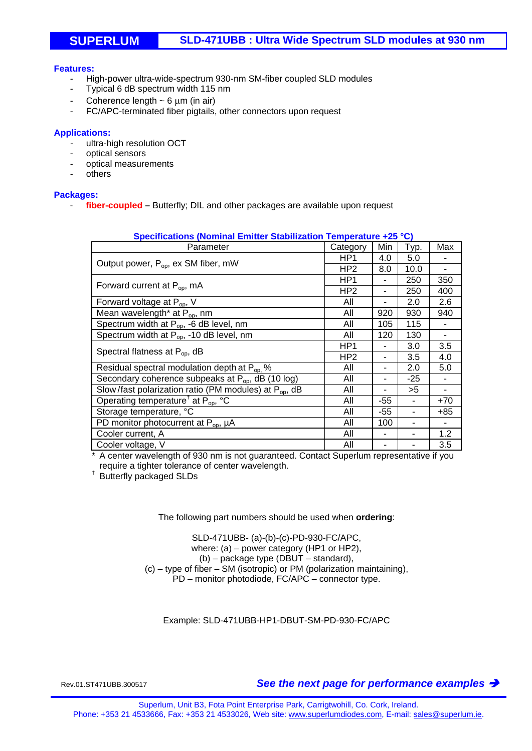## **SUPERLUM SLD-471UBB : Ultra Wide Spectrum SLD modules at 930 nm**

#### **Features:**

- High-power ultra-wide-spectrum 930-nm SM-fiber coupled SLD modules
- Typical 6 dB spectrum width 115 nm
- Coherence length  $\sim$  6  $\mu$ m (in air)
- FC/APC-terminated fiber pigtails, other connectors upon request

#### **Applications:**

- ultra-high resolution OCT
- optical sensors
- optical measurements
- others

#### **Packages:**

- **fiber-coupled –** Butterfly; DIL and other packages are available upon request

| Specifications (Nominal Emitter Stabilization Temperature +25 °C) |                 |       |      |       |
|-------------------------------------------------------------------|-----------------|-------|------|-------|
| Parameter                                                         | Category        | Min   | Typ. | Max   |
| Output power, P <sub>op</sub> , ex SM fiber, mW                   | HP <sub>1</sub> | 4.0   | 5.0  |       |
|                                                                   | HP <sub>2</sub> | 8.0   | 10.0 |       |
| Forward current at $P_{op}$ , mA                                  | HP <sub>1</sub> |       | 250  | 350   |
|                                                                   | HP <sub>2</sub> | ۰     | 250  | 400   |
| Forward voltage at P <sub>op</sub> , V                            | All             |       | 2.0  | 2.6   |
| Mean wavelength <sup>*</sup> at P <sub>op</sub> , nm              | All             | 920   | 930  | 940   |
| Spectrum width at $P_{op}$ , -6 dB level, nm                      | All             | 105   | 115  |       |
| Spectrum width at P <sub>op</sub> , -10 dB level, nm              | All             | 120   | 130  |       |
| Spectral flatness at $P_{op}$ , dB                                | HP <sub>1</sub> | ۰     | 3.0  | 3.5   |
|                                                                   | HP <sub>2</sub> |       | 3.5  | 4.0   |
| Residual spectral modulation depth at P <sub>op.</sub> %          | All             | -     | 2.0  | 5.0   |
| Secondary coherence subpeaks at P <sub>op</sub> , dB (10 log)     | All             |       | -25  |       |
| Slow/fast polarization ratio (PM modules) at $P_{op}$ , dB        | All             |       | >5   |       |
| Operating temperature <sup>†</sup> at $P_{op}$ , °C               | All             | -55   | ۰    | $+70$ |
| Storage temperature, °C                                           | All             | $-55$ | ٠    | $+85$ |
| PD monitor photocurrent at $P_{op}$ , $\mu A$                     | All             | 100   | ۰    |       |
| Cooler current, A                                                 | All             |       |      | 1.2   |
| Cooler voltage, V                                                 | All             |       |      | 3.5   |

### **Specifications (Nominal Emitter Stabilization Temperature +25 °C)**

\* A center wavelength of 930 nm is not guaranteed. Contact Superlum representative if you require a tighter tolerance of center wavelength.<br><sup>†</sup> Butterfly packaged SLDs

#### The following part numbers should be used when **ordering**:

SLD-471UBB- (a)-(b)-(c)-PD-930-FC/APC, where: (a) – power category (HP1 or HP2), (b) – package type (DBUT – standard), (c) – type of fiber – SM (isotropic) or PM (polarization maintaining), PD – monitor photodiode, FC/APC – connector type.

Example: SLD-471UBB-HP1-DBUT-SM-PD-930-FC/APC

Rev.01.ST471UBB.300517 *See the next page for performance examples*